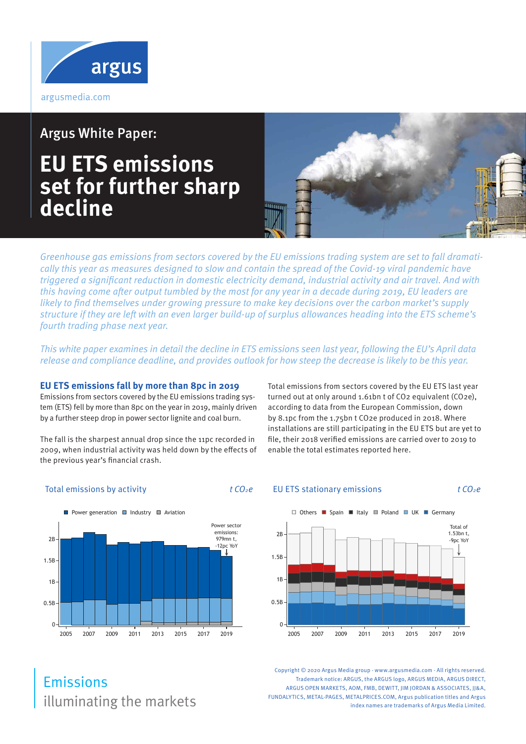

Argus White Paper:

## **EU ETS emissions set for further sharp decline**



Greenhouse gas emissions from sectors covered by the EU emissions trading system are set to fall dramatically this year as measures designed to slow and contain the spread of the Covid-19 viral pandemic have triggered a significant reduction in domestic electricity demand, industrial activity and air travel. And with this having come after output tumbled by the most for any year in a decade during 2019, EU leaders are likely to find themselves under growing pressure to make key decisions over the carbon market's supply structure if they are left with an even larger build-up of surplus allowances heading into the ETS scheme's fourth trading phase next year.

This white paper examines in detail the decline in ETS emissions seen last year, following the EU's April data release and compliance deadline, and provides outlook for how steep the decrease is likely to be this year.

#### **EU ETS emissions fall by more than 8pc in 2019**

Emissions from sectors covered by the EU emissions trading system (ETS) fell by more than 8pc on the year in 2019, mainly driven by a further steep drop in power sector lignite and coal burn.

The fall is the sharpest annual drop since the 11pc recorded in 2009, when industrial activity was held down by the effects of the previous year's financial crash.

Total emissions from sectors covered by the EU ETS last year turned out at only around 1.61bn t of CO2 equivalent (CO2e), according to data from the European Commission, down by 8.1pc from the 1.75bn t CO2e produced in 2018. Where installations are still participating in the EU ETS but are yet to file, their 2018 verified emissions are carried over to 2019 to enable the total estimates reported here.

#### Total emissions by activity  $t CO<sub>2</sub>e$

#### EU ETS stationary emissions  $t CO<sub>2</sub>e$





Copyright © 2020 Argus Media group - www.argusmedia.com - All rights reserved. Trademark notice: ARGUS, the ARGUS logo, ARGUS MEDIA, ARGUS DIRECT, ARGUS OPEN MARKETS, AOM, FMB, DEWITT, JIM JORDAN & ASSOCIATES, JJ&A, FUNDALYTICS, METAL-PAGES, METALPRICES.COM, Argus publication titles and Argus index names are trademarks of Argus Media Limited.

## illuminating the markets Emissions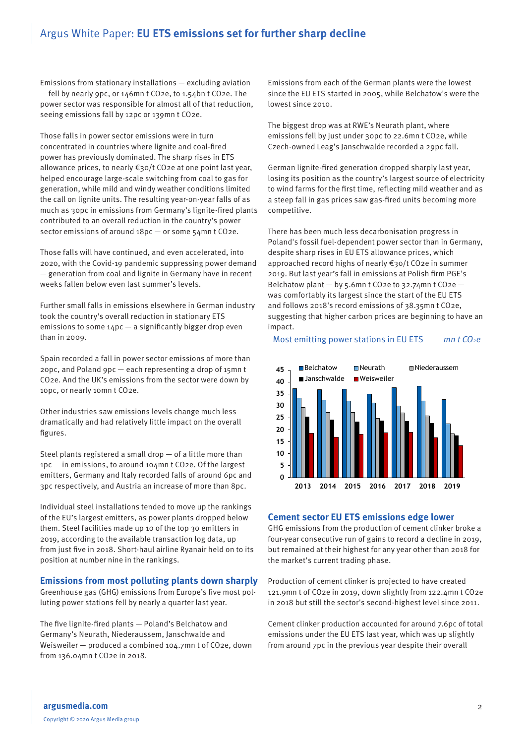Emissions from stationary installations — excluding aviation — fell by nearly 9pc, or 146mn t CO2e, to 1.54bn t CO2e. The power sector was responsible for almost all of that reduction, seeing emissions fall by 12pc or 139mn t CO2e.

Those falls in power sector emissions were in turn concentrated in countries where lignite and coal-fired power has previously dominated. The sharp rises in ETS allowance prices, to nearly €30/t CO2e at one point last year, helped encourage large-scale switching from coal to gas for generation, while mild and windy weather conditions limited the call on lignite units. The resulting year-on-year falls of as much as 30pc in emissions from Germany's lignite-fired plants contributed to an overall reduction in the country's power sector emissions of around 18pc - or some 54mn t CO2e.

Those falls will have continued, and even accelerated, into 2020, with the Covid-19 pandemic suppressing power demand — generation from coal and lignite in Germany have in recent weeks fallen below even last summer's levels.

Further small falls in emissions elsewhere in German industry took the country's overall reduction in stationary ETS emissions to some  $14pc - a$  significantly bigger drop even than in 2009.

Spain recorded a fall in power sector emissions of more than 20pc, and Poland 9pc — each representing a drop of 15mn t CO2e. And the UK's emissions from the sector were down by 10pc, or nearly 10mn t CO2e.

Other industries saw emissions levels change much less dramatically and had relatively little impact on the overall figures.

Steel plants registered a small drop — of a little more than 1pc — in emissions, to around 104mn t CO2e. Of the largest emitters, Germany and Italy recorded falls of around 6pc and 3pc respectively, and Austria an increase of more than 8pc.

Individual steel installations tended to move up the rankings of the EU's largest emitters, as power plants dropped below them. Steel facilities made up 10 of the top 30 emitters in 2019, according to the available transaction log data, up from just five in 2018. Short-haul airline Ryanair held on to its position at number nine in the rankings.

#### **Emissions from most polluting plants down sharply**

Greenhouse gas (GHG) emissions from Europe's five most polluting power stations fell by nearly a quarter last year.

The five lignite-fired plants — Poland's Belchatow and Germany's Neurath, Niederaussem, Janschwalde and Weisweiler — produced a combined 104.7mn t of CO2e, down from 136.04mn t CO2e in 2018.

Emissions from each of the German plants were the lowest since the EU ETS started in 2005, while Belchatow's were the lowest since 2010.

The biggest drop was at RWE's Neurath plant, where emissions fell by just under 30pc to 22.6mn t CO2e, while Czech-owned Leag's Janschwalde recorded a 29pc fall.

German lignite-fired generation dropped sharply last year, losing its position as the country's largest source of electricity to wind farms for the first time, reflecting mild weather and as a steep fall in gas prices saw gas-fired units becoming more competitive.

There has been much less decarbonisation progress in Poland's fossil fuel-dependent power sector than in Germany, despite sharp rises in EU ETS allowance prices, which approached record highs of nearly €30/t CO2e in summer 2019. But last year's fall in emissions at Polish firm PGE's Belchatow plant — by 5.6mn t CO2e to 32.74mn t CO2e was comfortably its largest since the start of the EU ETS and follows 2018's record emissions of 38.35mn t CO2e, suggesting that higher carbon prices are beginning to have an impact.

#### Most emitting power stations in EU ETS  $mn t CO<sub>2</sub>e$



#### **Cement sector EU ETS emissions edge lower**

GHG emissions from the production of cement clinker broke a four-year consecutive run of gains to record a decline in 2019, but remained at their highest for any year other than 2018 for the market's current trading phase.

Production of cement clinker is projected to have created 121.9mn t of CO2e in 2019, down slightly from 122.4mn t CO2e in 2018 but still the sector's second-highest level since 2011.

Cement clinker production accounted for around 7.6pc of total emissions under the EU ETS last year, which was up slightly from around 7pc in the previous year despite their overall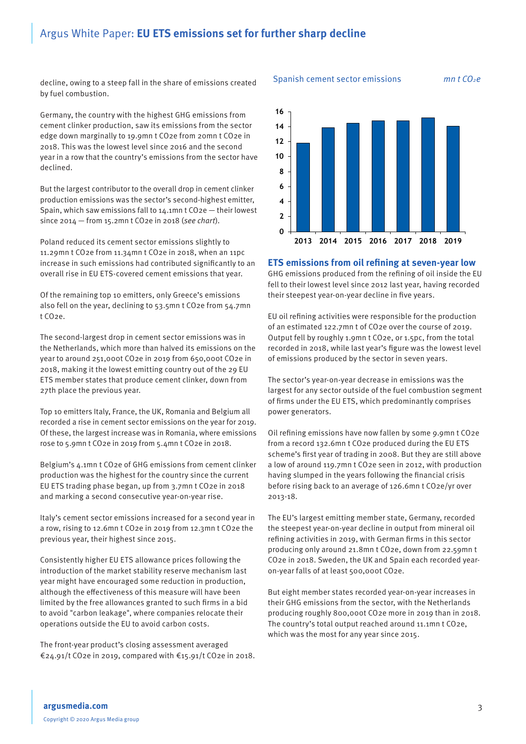decline, owing to a steep fall in the share of emissions created by fuel combustion.

Germany, the country with the highest GHG emissions from cement clinker production, saw its emissions from the sector edge down marginally to 19.9mn t CO2e from 20mn t CO2e in 2018. This was the lowest level since 2016 and the second year in a row that the country's emissions from the sector have declined.

But the largest contributor to the overall drop in cement clinker production emissions was the sector's second-highest emitter, Spain, which saw emissions fall to  $14.1$ mn t CO2e  $-$  their lowest since 2014 — from 15.2mn t CO2e in 2018 (see chart).

Poland reduced its cement sector emissions slightly to 11.29mn t CO2e from 11.34mn t CO2e in 2018, when an 11pc increase in such emissions had contributed significantly to an overall rise in EU ETS-covered cement emissions that year.

Of the remaining top 10 emitters, only Greece's emissions also fell on the year, declining to 53.5mn t CO2e from 54.7mn t CO2e.

The second-largest drop in cement sector emissions was in the Netherlands, which more than halved its emissions on the year to around 251,000t CO2e in 2019 from 650,000t CO2e in 2018, making it the lowest emitting country out of the 29 EU ETS member states that produce cement clinker, down from 27th place the previous year.

Top 10 emitters Italy, France, the UK, Romania and Belgium all recorded a rise in cement sector emissions on the year for 2019. Of these, the largest increase was in Romania, where emissions rose to 5.9mn t CO2e in 2019 from 5.4mn t CO2e in 2018.

Belgium's 4.1mn t CO2e of GHG emissions from cement clinker production was the highest for the country since the current EU ETS trading phase began, up from 3.7mn t CO2e in 2018 and marking a second consecutive year-on-year rise.

Italy's cement sector emissions increased for a second year in a row, rising to 12.6mn t CO2e in 2019 from 12.3mn t CO2e the previous year, their highest since 2015.

Consistently higher EU ETS allowance prices following the introduction of the market stability reserve mechanism last year might have encouraged some reduction in production, although the effectiveness of this measure will have been limited by the free allowances granted to such firms in a bid to avoid "carbon leakage", where companies relocate their operations outside the EU to avoid carbon costs.

The front-year product's closing assessment averaged €24.91/t CO2e in 2019, compared with €15.91/t CO2e in 2018.



**ETS emissions from oil refining at seven-year low**

GHG emissions produced from the refining of oil inside the EU fell to their lowest level since 2012 last year, having recorded their steepest year-on-year decline in five years.

EU oil refining activities were responsible for the production of an estimated 122.7mn t of CO2e over the course of 2019. Output fell by roughly 1.9mn t CO2e, or 1.5pc, from the total recorded in 2018, while last year's figure was the lowest level of emissions produced by the sector in seven years.

The sector's year-on-year decrease in emissions was the largest for any sector outside of the fuel combustion segment of firms under the EU ETS, which predominantly comprises power generators.

Oil refining emissions have now fallen by some 9.9mn t CO2e from a record 132.6mn t CO2e produced during the EU ETS scheme's first year of trading in 2008. But they are still above a low of around 119.7mn t CO2e seen in 2012, with production having slumped in the years following the financial crisis before rising back to an average of 126.6mn t CO2e/yr over 2013-18.

The EU's largest emitting member state, Germany, recorded the steepest year-on-year decline in output from mineral oil refining activities in 2019, with German firms in this sector producing only around 21.8mn t CO2e, down from 22.59mn t CO2e in 2018. Sweden, the UK and Spain each recorded yearon-year falls of at least 500,000t CO2e.

But eight member states recorded year-on-year increases in their GHG emissions from the sector, with the Netherlands producing roughly 800,000t CO2e more in 2019 than in 2018. The country's total output reached around 11.1mn t CO2e, which was the most for any year since 2015.

#### Spanish cement sector emissions mn  $t$   $CO<sub>2</sub>e$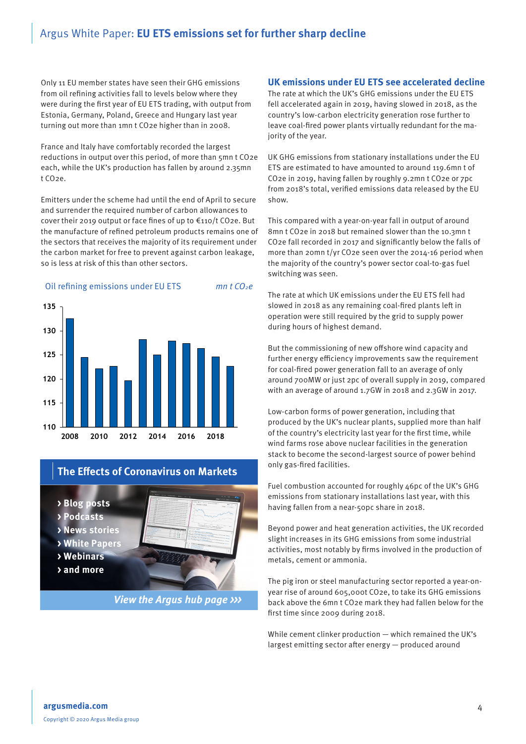Only 11 EU member states have seen their GHG emissions from oil refining activities fall to levels below where they were during the first year of EU ETS trading, with output from Estonia, Germany, Poland, Greece and Hungary last year turning out more than 1mn t CO2e higher than in 2008.

France and Italy have comfortably recorded the largest reductions in output over this period, of more than 5mn t CO2e each, while the UK's production has fallen by around 2.35mn t CO2e.

Emitters under the scheme had until the end of April to secure and surrender the required number of carbon allowances to cover their 2019 output or face fines of up to €110/t CO2e. But the manufacture of refined petroleum products remains one of the sectors that receives the majority of its requirement under the carbon market for free to prevent against carbon leakage, so is less at risk of this than other sectors.

#### Oil refining emissions under EU ETS mn t  $CO<sub>2</sub>e$



#### **The Effects of Coronavirus on Markets**

**> Blog posts**

**> Podcasts**

**> News stories**

**> White Papers**

- **> Webinars**
- **> and more**

**View the Argus hub page >>>** 

#### **UK emissions under EU ETS see accelerated decline**

The rate at which the UK's GHG emissions under the EU ETS fell accelerated again in 2019, having slowed in 2018, as the country's low-carbon electricity generation rose further to leave coal-fired power plants virtually redundant for the majority of the year.

UK GHG emissions from stationary installations under the EU ETS are estimated to have amounted to around 119.6mn t of CO2e in 2019, having fallen by roughly 9.2mn t CO2e or 7pc from 2018's total, verified emissions data released by the EU show.

This compared with a year-on-year fall in output of around 8mn t CO2e in 2018 but remained slower than the 10.3mn t CO2e fall recorded in 2017 and significantly below the falls of more than 20mn t/yr CO2e seen over the 2014-16 period when the majority of the country's power sector coal-to-gas fuel switching was seen.

The rate at which UK emissions under the EU ETS fell had slowed in 2018 as any remaining coal-fired plants left in operation were still required by the grid to supply power during hours of highest demand.

But the commissioning of new offshore wind capacity and further energy efficiency improvements saw the requirement for coal-fired power generation fall to an average of only around 700MW or just 2pc of overall supply in 2019, compared with an average of around 1.7GW in 2018 and 2.3GW in 2017.

Low-carbon forms of power generation, including that produced by the UK's nuclear plants, supplied more than half of the country's electricity last year for the first time, while wind farms rose above nuclear facilities in the generation stack to become the second-largest source of power behind only gas-fired facilities.

Fuel combustion accounted for roughly 46pc of the UK's GHG emissions from stationary installations last year, with this having fallen from a near-50pc share in 2018.

Beyond power and heat generation activities, the UK recorded slight increases in its GHG emissions from some industrial activities, most notably by firms involved in the production of metals, cement or ammonia.

The pig iron or steel manufacturing sector reported a year-onyear rise of around 605,000t CO2e, to take its GHG emissions back above the 6mn t CO2e mark they had fallen below for the first time since 2009 during 2018.

While cement clinker production — which remained the UK's largest emitting sector after energy — produced around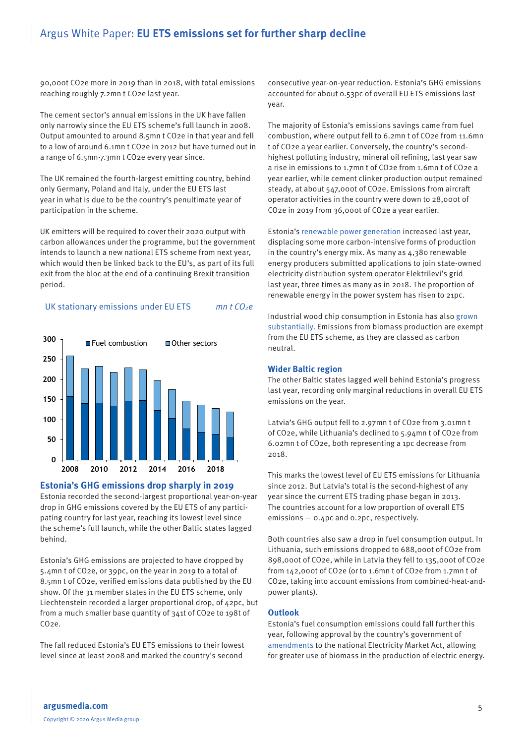90,000t CO2e more in 2019 than in 2018, with total emissions reaching roughly 7.2mn t CO2e last year.

The cement sector's annual emissions in the UK have fallen only narrowly since the EU ETS scheme's full launch in 2008. Output amounted to around 8.5mn t CO2e in that year and fell to a low of around 6.1mn t CO2e in 2012 but have turned out in a range of 6.5mn-7.3mn t CO2e every year since.

The UK remained the fourth-largest emitting country, behind only Germany, Poland and Italy, under the EU ETS last year in what is due to be the country's penultimate year of participation in the scheme.

UK emitters will be required to cover their 2020 output with carbon allowances under the programme, but the government intends to launch a new national ETS scheme from next year, which would then be linked back to the EU's, as part of its full exit from the bloc at the end of a continuing Brexit transition period.

#### UK stationary emissions under EU ETS  $mn t CO<sub>2</sub>e$



#### **Estonia's GHG emissions drop sharply in 2019**

Estonia recorded the second-largest proportional year-on-year drop in GHG emissions covered by the EU ETS of any participating country for last year, reaching its lowest level since the scheme's full launch, while the other Baltic states lagged behind.

Estonia's GHG emissions are projected to have dropped by 5.4mn t of CO2e, or 39pc, on the year in 2019 to a total of 8.5mn t of CO2e, verified emissions data published by the EU show. Of the 31 member states in the EU ETS scheme, only Liechtenstein recorded a larger proportional drop, of 42pc, but from a much smaller base quantity of 341t of CO2e to 198t of CO2e.

The fall reduced Estonia's EU ETS emissions to their lowest level since at least 2008 and marked the country's second

consecutive year-on-year reduction. Estonia's GHG emissions accounted for about 0.53pc of overall EU ETS emissions last year.

The majority of Estonia's emissions savings came from fuel combustion, where output fell to 6.2mn t of CO2e from 11.6mn t of CO2e a year earlier. Conversely, the country's secondhighest polluting industry, mineral oil refining, last year saw a rise in emissions to 1.7mn t of CO2e from 1.6mn t of CO2e a year earlier, while cement clinker production output remained steady, at about 547,000t of CO2e. Emissions from aircraft operator activities in the country were down to 28,000t of CO2e in 2019 from 36,000t of CO2e a year earlier.

Estonia's [renewable power generation](https://direct.argusmedia.com/newsandanalysis/article/2068224) increased last year, displacing some more carbon-intensive forms of production in the country's energy mix. As many as 4,380 renewable energy producers submitted applications to join state-owned electricity distribution system operator Elektrilevi's grid last year, three times as many as in 2018. The proportion of renewable energy in the power system has risen to 21pc.

Industrial wood chip consumption in Estonia has also [grown](https://direct.argusmedia.com/newsandanalysis/article/2005466)  [substantially](https://direct.argusmedia.com/newsandanalysis/article/2005466). Emissions from biomass production are exempt from the EU ETS scheme, as they are classed as carbon neutral.

#### **Wider Baltic region**

The other Baltic states lagged well behind Estonia's progress last year, recording only marginal reductions in overall EU ETS emissions on the year.

Latvia's GHG output fell to 2.97mn t of CO2e from 3.01mn t of CO2e, while Lithuania's declined to 5.94mn t of CO2e from 6.02mn t of CO2e, both representing a 1pc decrease from 2018.

This marks the lowest level of EU ETS emissions for Lithuania since 2012. But Latvia's total is the second-highest of any year since the current ETS trading phase began in 2013. The countries account for a low proportion of overall ETS emissions — 0.4pc and 0.2pc, respectively.

Both countries also saw a drop in fuel consumption output. In Lithuania, such emissions dropped to 688,000t of CO2e from 898,000t of CO2e, while in Latvia they fell to 135,000t of CO2e from 142,000t of CO2e (or to 1.6mn t of CO2e from 1.7mn t of CO2e, taking into account emissions from combined-heat-andpower plants).

#### **Outlook**

Estonia's fuel consumption emissions could fall further this year, following approval by the country's government of [amendments](https://direct.argusmedia.com/newsandanalysis/article/2079977) to the national Electricity Market Act, allowing for greater use of biomass in the production of electric energy.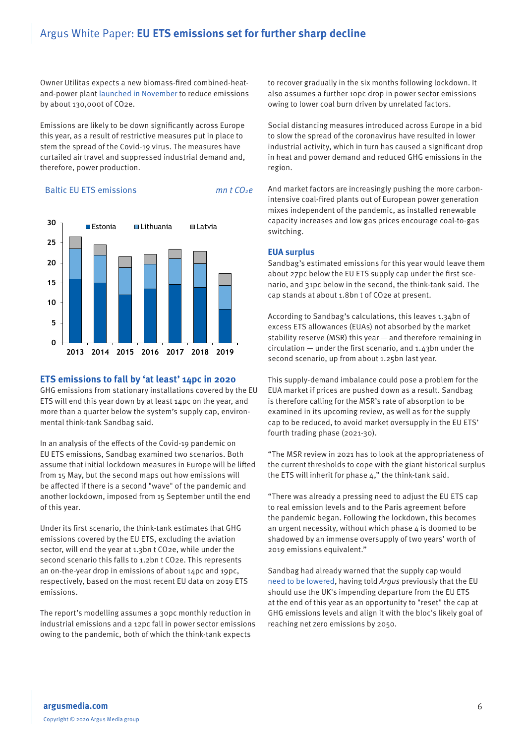Owner Utilitas expects a new biomass-fired combined-heatand-power plant [launched in November](https://direct.argusmedia.com/newsandanalysis/article/2016463) to reduce emissions by about 130,000t of CO2e.

Emissions are likely to be down significantly across Europe this year, as a result of restrictive measures put in place to stem the spread of the Covid-19 virus. The measures have curtailed air travel and suppressed industrial demand and, therefore, power production.

#### Baltic EU ETS emissions mn t  $CO<sub>2</sub>e$



#### **ETS emissions to fall by 'at least' 14pc in 2020**

GHG emissions from stationary installations covered by the EU ETS will end this year down by at least 14pc on the year, and more than a quarter below the system's supply cap, environmental think-tank Sandbag said.

In an analysis of the effects of the Covid-19 pandemic on EU ETS emissions, Sandbag examined two scenarios. Both assume that initial lockdown measures in Europe will be lifted from 15 May, but the second maps out how emissions will be affected if there is a second "wave" of the pandemic and another lockdown, imposed from 15 September until the end of this year.

Under its first scenario, the think-tank estimates that GHG emissions covered by the EU ETS, excluding the aviation sector, will end the year at 1.3bn t CO2e, while under the second scenario this falls to 1.2bn t CO2e. This represents an on-the-year drop in emissions of about 14pc and 19pc, respectively, based on the most recent EU data on 2019 ETS emissions.

The report's modelling assumes a 30pc monthly reduction in industrial emissions and a 12pc fall in power sector emissions owing to the pandemic, both of which the think-tank expects

to recover gradually in the six months following lockdown. It also assumes a further 10pc drop in power sector emissions owing to lower coal burn driven by unrelated factors.

Social distancing measures introduced across Europe in a bid to slow the spread of the coronavirus have resulted in lower industrial activity, which in turn has caused a significant drop in heat and power demand and reduced GHG emissions in the region.

And market factors are increasingly pushing the more carbonintensive coal-fired plants out of European power generation mixes independent of the pandemic, as installed renewable capacity increases and low gas prices encourage coal-to-gas switching.

#### **EUA surplus**

Sandbag's estimated emissions for this year would leave them about 27pc below the EU ETS supply cap under the first scenario, and 31pc below in the second, the think-tank said. The cap stands at about 1.8bn t of CO2e at present.

According to Sandbag's calculations, this leaves 1.34bn of excess ETS allowances (EUAs) not absorbed by the market stability reserve (MSR) this year — and therefore remaining in circulation — under the first scenario, and 1.43bn under the second scenario, up from about 1.25bn last year.

This supply-demand imbalance could pose a problem for the EUA market if prices are pushed down as a result. Sandbag is therefore calling for the MSR's rate of absorption to be examined in its upcoming review, as well as for the supply cap to be reduced, to avoid market oversupply in the EU ETS' fourth trading phase (2021-30).

"The MSR review in 2021 has to look at the appropriateness of the current thresholds to cope with the giant historical surplus the ETS will inherit for phase 4," the think-tank said.

"There was already a pressing need to adjust the EU ETS cap to real emission levels and to the Paris agreement before the pandemic began. Following the lockdown, this becomes an urgent necessity, without which phase  $4$  is doomed to be shadowed by an immense oversupply of two years' worth of 2019 emissions equivalent."

Sandbag had already warned that the supply cap would [need to be lowered,](https://direct.argusmedia.com/newsandanalysis/article/2095147) having told Argus previously that the EU should use the UK's impending departure from the EU ETS at the end of this year as an opportunity to "reset" the cap at GHG emissions levels and align it with the bloc's likely goal of reaching net zero emissions by 2050.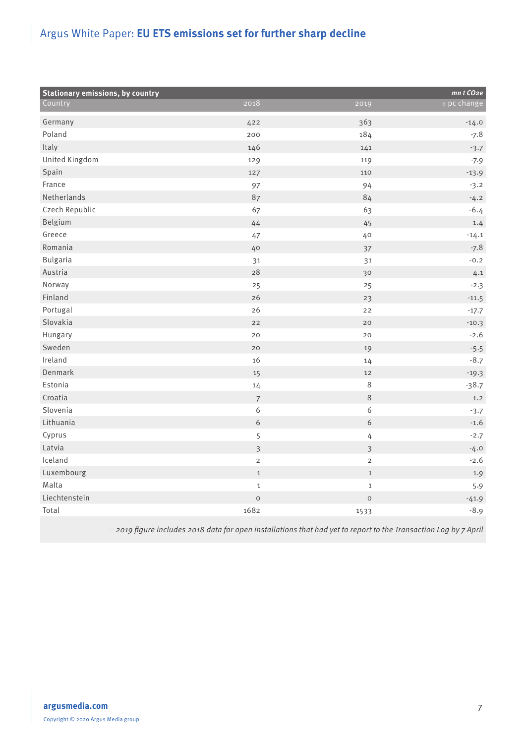| <b>Stationary emissions, by country</b> |                         |                         | mnt CO <sub>2e</sub> |
|-----------------------------------------|-------------------------|-------------------------|----------------------|
| Country                                 | 2018                    | 2019                    | ± pc change          |
| Germany                                 | 422                     | 363                     | $-14.0$              |
| Poland                                  | 200                     | 184                     | $-7.8$               |
| Italy                                   | 146                     | 141                     | $-3.7$               |
| United Kingdom                          | 129                     | 119                     | $-7.9$               |
| Spain                                   | 127                     | 110                     | $-13.9$              |
| France                                  | 97                      | 94                      | $-3.2$               |
| Netherlands                             | 87                      | 84                      | $-4.2$               |
| Czech Republic                          | 67                      | 63                      | $-6.4$               |
| Belgium                                 | 44                      | 45                      | 1.4                  |
| Greece                                  | 47                      | 40                      | $-14.1$              |
| Romania                                 | 40                      | 37                      | $-7.8$               |
| <b>Bulgaria</b>                         | 31                      | 31                      | $-0.2$               |
| Austria                                 | 28                      | 30                      | 4.1                  |
| Norway                                  | 25                      | 25                      | $-2.3$               |
| Finland                                 | 26                      | 23                      | $-11.5$              |
| Portugal                                | 26                      | 22                      | $-17.7$              |
| Slovakia                                | 22                      | 20                      | $-10.3$              |
| Hungary                                 | 20                      | 20                      | $-2.6$               |
| Sweden                                  | 20                      | 19                      | $-5.5$               |
| Ireland                                 | 16                      | 14                      | $-8.7$               |
| Denmark                                 | 15                      | 12                      | $-19.3$              |
| Estonia                                 | 14                      | $\,8\,$                 | $-38.7$              |
| Croatia                                 | $\overline{7}$          | $\,8\,$                 | 1.2                  |
| Slovenia                                | 6                       | $\boldsymbol{6}$        | $-3.7$               |
| Lithuania                               | 6                       | 6                       | $-1.6$               |
| Cyprus                                  | 5                       | 4                       | $-2.7$               |
| Latvia                                  | $\overline{\mathbf{3}}$ | $\overline{\mathbf{3}}$ | $-4.0$               |
| Iceland                                 | $\overline{2}$          | $\overline{c}$          | $-2.6$               |
| Luxembourg                              | $\mathbf{1}$            | $1\,$                   | 1.9                  |
| Malta                                   | $\mathbf{1}$            | $\,1\,$                 | 5.9                  |
| Liechtenstein                           | $\mathsf O$             | $\mathsf O$             | $-41.9$              |
| Total                                   | 1682                    | 1533                    | $-8.9$               |

— 2019 figure includes 2018 data for open installations that had yet to report to the Transaction Log by 7 April